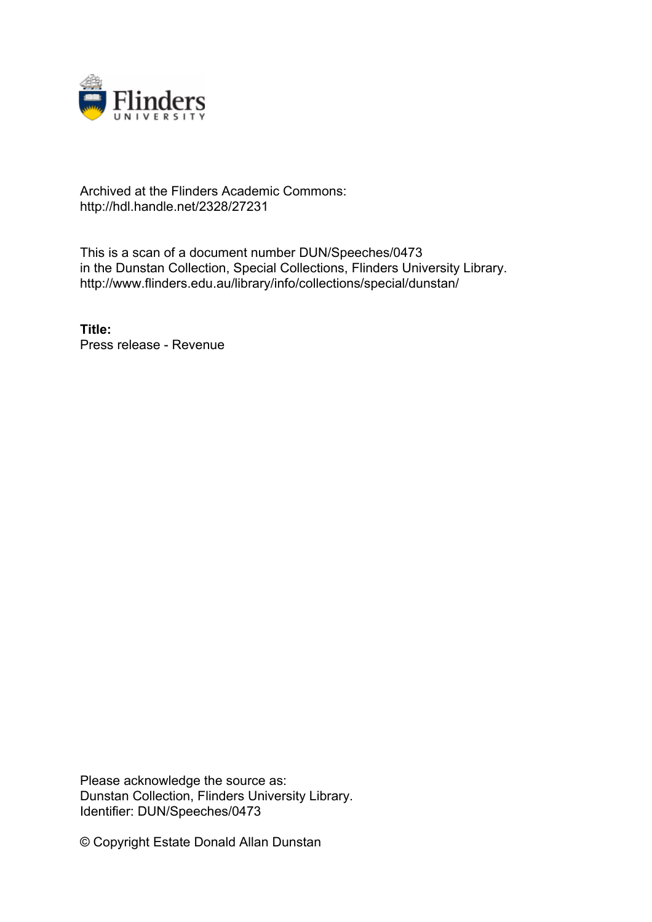

## Archived at the Flinders Academic Commons: http://hdl.handle.net/2328/27231

This is a scan of a document number DUN/Speeches/0473 in the Dunstan Collection, Special Collections, Flinders University Library. http://www.flinders.edu.au/library/info/collections/special/dunstan/

**Title:** Press release - Revenue

Please acknowledge the source as: Dunstan Collection, Flinders University Library. Identifier: DUN/Speeches/0473

© Copyright Estate Donald Allan Dunstan